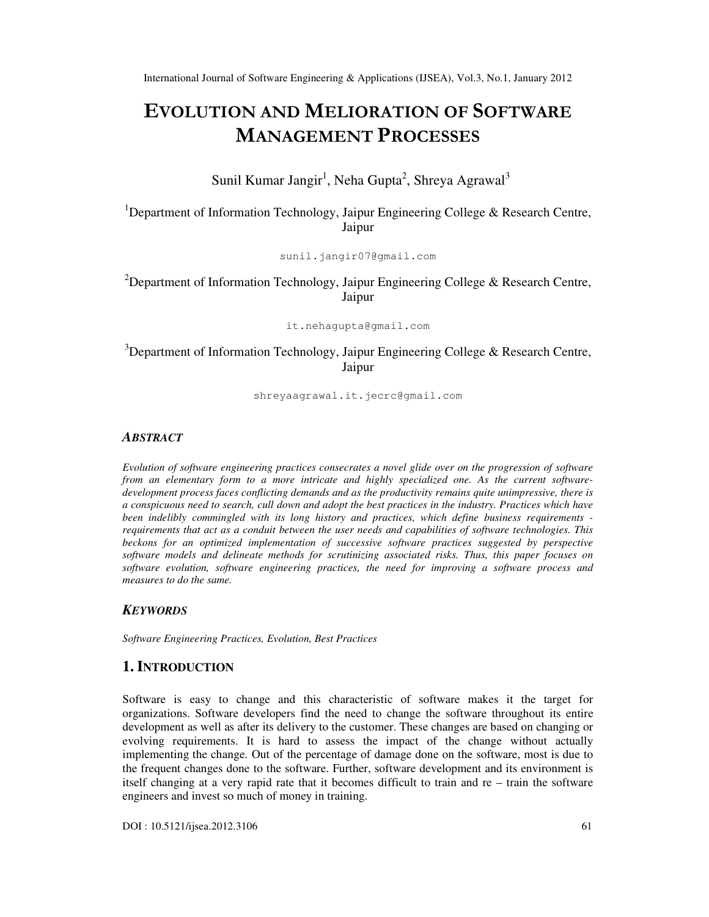# EVOLUTION AND MELIORATION OF SOFTWARE MANAGEMENT PROCESSES

Sunil Kumar Jangir<sup>1</sup>, Neha Gupta<sup>2</sup>, Shreya Agrawal<sup>3</sup>

<sup>1</sup>Department of Information Technology, Jaipur Engineering College & Research Centre, Jaipur

sunil.jangir07@gmail.com

<sup>2</sup>Department of Information Technology, Jaipur Engineering College & Research Centre, Jaipur

it.nehagupta@gmail.com

# <sup>3</sup>Department of Information Technology, Jaipur Engineering College & Research Centre, Jaipur

shreyaagrawal.it.jecrc@gmail.com

#### *ABSTRACT*

*Evolution of software engineering practices consecrates a novel glide over on the progression of software from an elementary form to a more intricate and highly specialized one. As the current softwaredevelopment process faces conflicting demands and as the productivity remains quite unimpressive, there is a conspicuous need to search, cull down and adopt the best practices in the industry. Practices which have been indelibly commingled with its long history and practices, which define business requirements requirements that act as a conduit between the user needs and capabilities of software technologies. This*  beckons for an optimized implementation of successive software practices suggested by perspective *software models and delineate methods for scrutinizing associated risks. Thus, this paper focuses on software evolution, software engineering practices, the need for improving a software process and measures to do the same.*

#### *KEYWORDS*

*Software Engineering Practices, Evolution, Best Practices* 

# **1. INTRODUCTION**

Software is easy to change and this characteristic of software makes it the target for organizations. Software developers find the need to change the software throughout its entire development as well as after its delivery to the customer. These changes are based on changing or evolving requirements. It is hard to assess the impact of the change without actually implementing the change. Out of the percentage of damage done on the software, most is due to the frequent changes done to the software. Further, software development and its environment is itself changing at a very rapid rate that it becomes difficult to train and re – train the software engineers and invest so much of money in training.

DOI : 10.5121/ijsea.2012.3106 61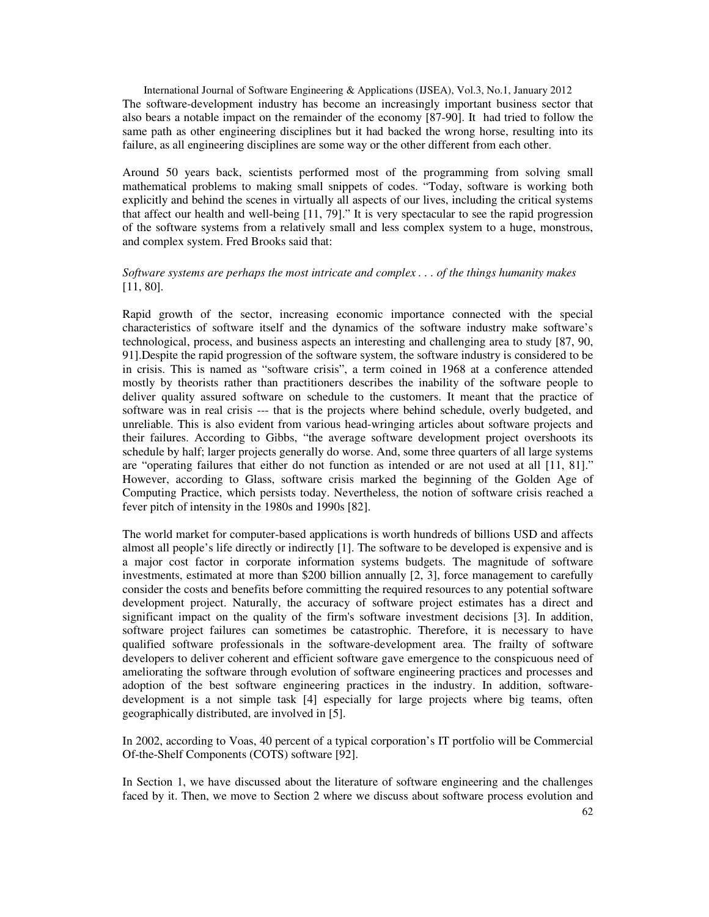International Journal of Software Engineering & Applications (IJSEA), Vol.3, No.1, January 2012 The software-development industry has become an increasingly important business sector that also bears a notable impact on the remainder of the economy [87-90]. It had tried to follow the same path as other engineering disciplines but it had backed the wrong horse, resulting into its failure, as all engineering disciplines are some way or the other different from each other.

Around 50 years back, scientists performed most of the programming from solving small mathematical problems to making small snippets of codes. "Today, software is working both explicitly and behind the scenes in virtually all aspects of our lives, including the critical systems that affect our health and well-being [11, 79]." It is very spectacular to see the rapid progression of the software systems from a relatively small and less complex system to a huge, monstrous, and complex system. Fred Brooks said that:

## *Software systems are perhaps the most intricate and complex . . . of the things humanity makes*  [11, 80].

Rapid growth of the sector, increasing economic importance connected with the special characteristics of software itself and the dynamics of the software industry make software's technological, process, and business aspects an interesting and challenging area to study [87, 90, 91].Despite the rapid progression of the software system, the software industry is considered to be in crisis. This is named as "software crisis", a term coined in 1968 at a conference attended mostly by theorists rather than practitioners describes the inability of the software people to deliver quality assured software on schedule to the customers. It meant that the practice of software was in real crisis --- that is the projects where behind schedule, overly budgeted, and unreliable. This is also evident from various head-wringing articles about software projects and their failures. According to Gibbs, "the average software development project overshoots its schedule by half; larger projects generally do worse. And, some three quarters of all large systems are "operating failures that either do not function as intended or are not used at all [11, 81]." However, according to Glass, software crisis marked the beginning of the Golden Age of Computing Practice, which persists today. Nevertheless, the notion of software crisis reached a fever pitch of intensity in the 1980s and 1990s [82].

The world market for computer-based applications is worth hundreds of billions USD and affects almost all people's life directly or indirectly [1]. The software to be developed is expensive and is a major cost factor in corporate information systems budgets. The magnitude of software investments, estimated at more than \$200 billion annually [2, 3], force management to carefully consider the costs and benefits before committing the required resources to any potential software development project. Naturally, the accuracy of software project estimates has a direct and significant impact on the quality of the firm's software investment decisions [3]. In addition, software project failures can sometimes be catastrophic. Therefore, it is necessary to have qualified software professionals in the software-development area. The frailty of software developers to deliver coherent and efficient software gave emergence to the conspicuous need of ameliorating the software through evolution of software engineering practices and processes and adoption of the best software engineering practices in the industry. In addition, softwaredevelopment is a not simple task [4] especially for large projects where big teams, often geographically distributed, are involved in [5].

In 2002, according to Voas, 40 percent of a typical corporation's IT portfolio will be Commercial Of-the-Shelf Components (COTS) software [92].

In Section 1, we have discussed about the literature of software engineering and the challenges faced by it. Then, we move to Section 2 where we discuss about software process evolution and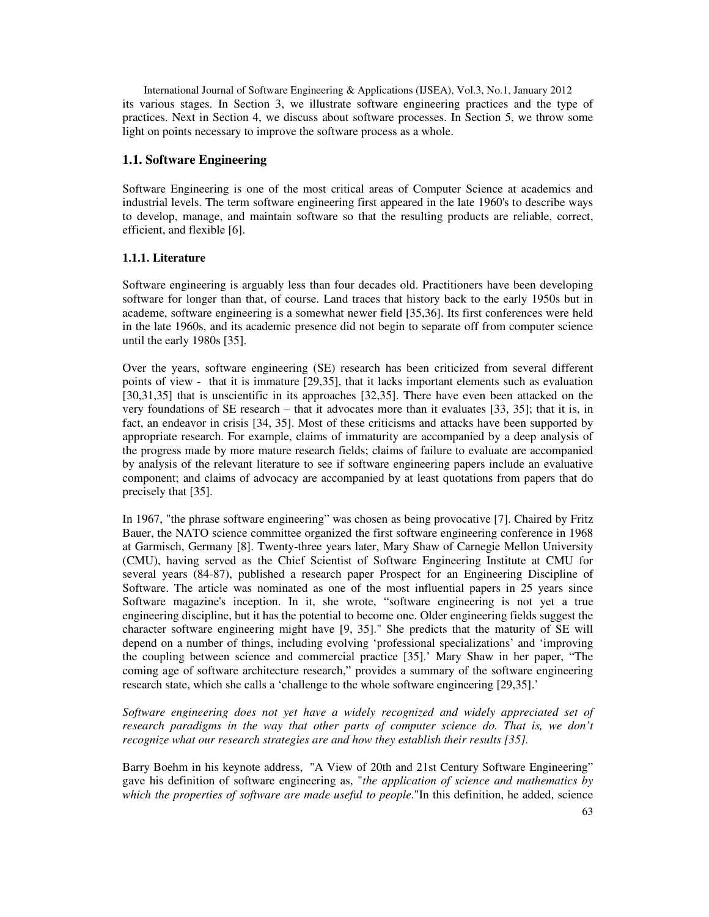International Journal of Software Engineering & Applications (IJSEA), Vol.3, No.1, January 2012 its various stages. In Section 3, we illustrate software engineering practices and the type of practices. Next in Section 4, we discuss about software processes. In Section 5, we throw some light on points necessary to improve the software process as a whole.

# **1.1. Software Engineering**

Software Engineering is one of the most critical areas of Computer Science at academics and industrial levels. The term software engineering first appeared in the late 1960's to describe ways to develop, manage, and maintain software so that the resulting products are reliable, correct, efficient, and flexible [6].

#### **1.1.1. Literature**

Software engineering is arguably less than four decades old. Practitioners have been developing software for longer than that, of course. Land traces that history back to the early 1950s but in academe, software engineering is a somewhat newer field [35,36]. Its first conferences were held in the late 1960s, and its academic presence did not begin to separate off from computer science until the early 1980s [35].

Over the years, software engineering (SE) research has been criticized from several different points of view - that it is immature [29,35], that it lacks important elements such as evaluation [30,31,35] that is unscientific in its approaches [32,35]. There have even been attacked on the very foundations of SE research – that it advocates more than it evaluates [33, 35]; that it is, in fact, an endeavor in crisis [34, 35]. Most of these criticisms and attacks have been supported by appropriate research. For example, claims of immaturity are accompanied by a deep analysis of the progress made by more mature research fields; claims of failure to evaluate are accompanied by analysis of the relevant literature to see if software engineering papers include an evaluative component; and claims of advocacy are accompanied by at least quotations from papers that do precisely that [35].

In 1967, "the phrase software engineering" was chosen as being provocative [7]. Chaired by Fritz Bauer, the NATO science committee organized the first software engineering conference in 1968 at Garmisch, Germany [8]. Twenty-three years later, Mary Shaw of Carnegie Mellon University (CMU), having served as the Chief Scientist of Software Engineering Institute at CMU for several years (84-87), published a research paper Prospect for an Engineering Discipline of Software. The article was nominated as one of the most influential papers in 25 years since Software magazine's inception. In it, she wrote, "software engineering is not yet a true engineering discipline, but it has the potential to become one. Older engineering fields suggest the character software engineering might have [9, 35]." She predicts that the maturity of SE will depend on a number of things, including evolving 'professional specializations' and 'improving the coupling between science and commercial practice [35].' Mary Shaw in her paper, "The coming age of software architecture research," provides a summary of the software engineering research state, which she calls a 'challenge to the whole software engineering [29,35].'

*Software engineering does not yet have a widely recognized and widely appreciated set of*  research paradigms in the way that other parts of computer science do. That is, we don't *recognize what our research strategies are and how they establish their results [35].* 

Barry Boehm in his keynote address, "A View of 20th and 21st Century Software Engineering" gave his definition of software engineering as, "*the application of science and mathematics by which the properties of software are made useful to people*."In this definition, he added, science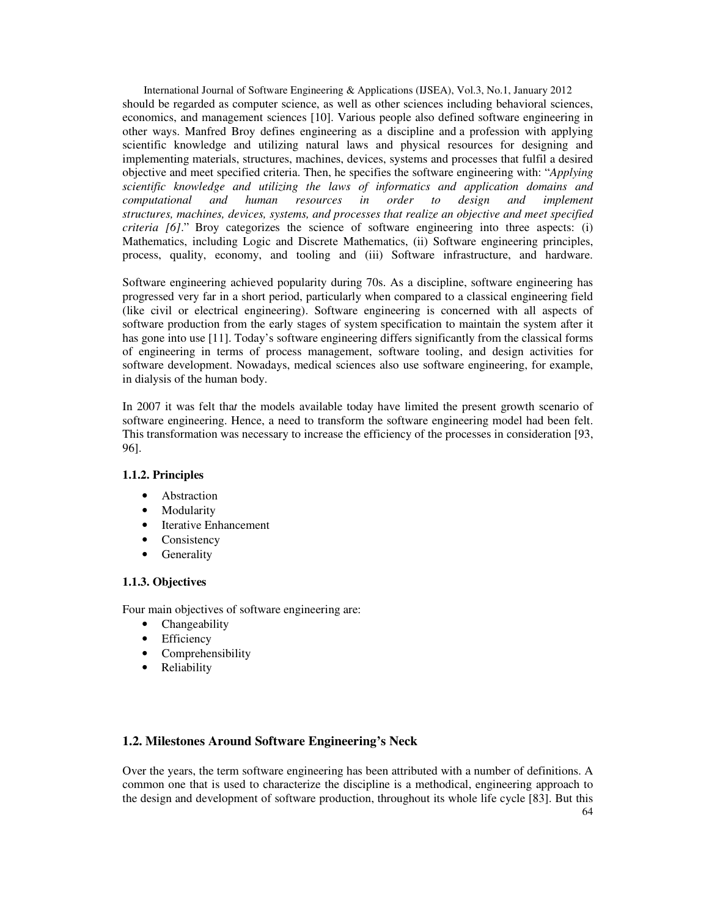International Journal of Software Engineering & Applications (IJSEA), Vol.3, No.1, January 2012 should be regarded as computer science, as well as other sciences including behavioral sciences, economics, and management sciences [10]. Various people also defined software engineering in other ways. Manfred Broy defines engineering as a discipline and a profession with applying scientific knowledge and utilizing natural laws and physical resources for designing and implementing materials, structures, machines, devices, systems and processes that fulfil a desired objective and meet specified criteria. Then, he specifies the software engineering with: "*Applying scientific knowledge and utilizing the laws of informatics and application domains and computational and human resources in order to design and implement structures, machines, devices, systems, and processes that realize an objective and meet specified criteria [6]*." Broy categorizes the science of software engineering into three aspects: (i) Mathematics, including Logic and Discrete Mathematics, (ii) Software engineering principles, process, quality, economy, and tooling and (iii) Software infrastructure, and hardware.

Software engineering achieved popularity during 70s. As a discipline, software engineering has progressed very far in a short period, particularly when compared to a classical engineering field (like civil or electrical engineering). Software engineering is concerned with all aspects of software production from the early stages of system specification to maintain the system after it has gone into use [11]. Today's software engineering differs significantly from the classical forms of engineering in terms of process management, software tooling, and design activities for software development. Nowadays, medical sciences also use software engineering, for example, in dialysis of the human body.

In 2007 it was felt tha*t* the models available today have limited the present growth scenario of software engineering. Hence, a need to transform the software engineering model had been felt. This transformation was necessary to increase the efficiency of the processes in consideration [93, 96].

#### **1.1.2. Principles**

- **Abstraction**
- Modularity
- Iterative Enhancement
- Consistency
- Generality

#### **1.1.3. Objectives**

Four main objectives of software engineering are:

- Changeability
- Efficiency
- Comprehensibility
- Reliability

# **1.2. Milestones Around Software Engineering's Neck**

Over the years, the term software engineering has been attributed with a number of definitions. A common one that is used to characterize the discipline is a methodical, engineering approach to the design and development of software production, throughout its whole life cycle [83]. But this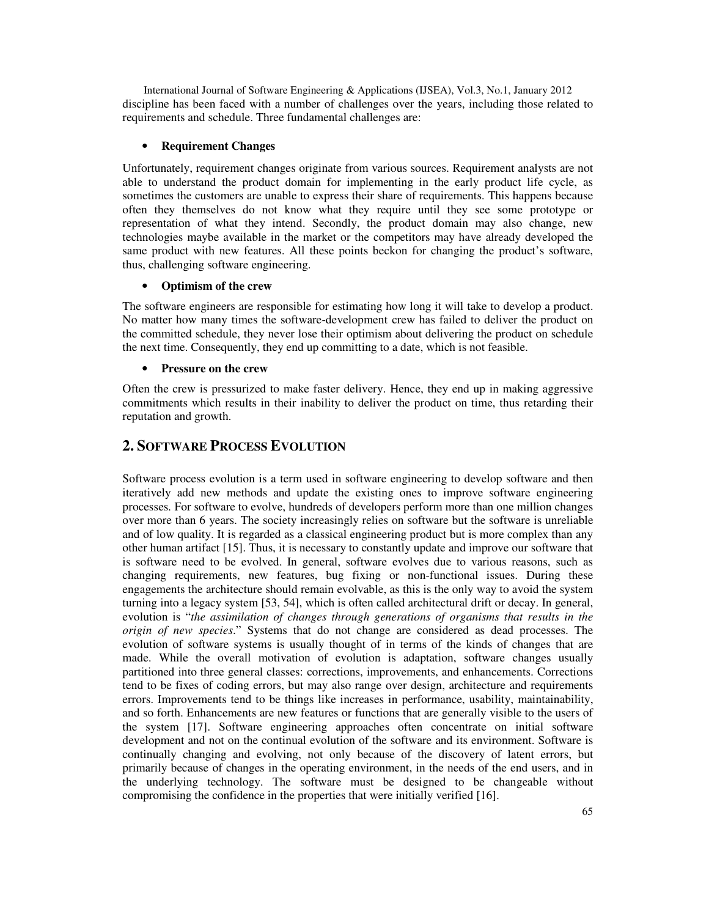International Journal of Software Engineering & Applications (IJSEA), Vol.3, No.1, January 2012 discipline has been faced with a number of challenges over the years, including those related to requirements and schedule. Three fundamental challenges are:

## • **Requirement Changes**

Unfortunately, requirement changes originate from various sources. Requirement analysts are not able to understand the product domain for implementing in the early product life cycle, as sometimes the customers are unable to express their share of requirements. This happens because often they themselves do not know what they require until they see some prototype or representation of what they intend. Secondly, the product domain may also change, new technologies maybe available in the market or the competitors may have already developed the same product with new features. All these points beckon for changing the product's software, thus, challenging software engineering.

## • **Optimism of the crew**

The software engineers are responsible for estimating how long it will take to develop a product. No matter how many times the software-development crew has failed to deliver the product on the committed schedule, they never lose their optimism about delivering the product on schedule the next time. Consequently, they end up committing to a date, which is not feasible.

## • **Pressure on the crew**

Often the crew is pressurized to make faster delivery. Hence, they end up in making aggressive commitments which results in their inability to deliver the product on time, thus retarding their reputation and growth.

# **2. SOFTWARE PROCESS EVOLUTION**

Software process evolution is a term used in software engineering to develop software and then iteratively add new methods and update the existing ones to improve software engineering processes. For software to evolve, hundreds of developers perform more than one million changes over more than 6 years. The society increasingly relies on software but the software is unreliable and of low quality. It is regarded as a classical engineering product but is more complex than any other human artifact [15]. Thus, it is necessary to constantly update and improve our software that is software need to be evolved. In general, software evolves due to various reasons, such as changing requirements, new features, bug fixing or non-functional issues. During these engagements the architecture should remain evolvable, as this is the only way to avoid the system turning into a legacy system [53, 54], which is often called architectural drift or decay. In general, evolution is "*the assimilation of changes through generations of organisms that results in the origin of new species*." Systems that do not change are considered as dead processes. The evolution of software systems is usually thought of in terms of the kinds of changes that are made. While the overall motivation of evolution is adaptation, software changes usually partitioned into three general classes: corrections, improvements, and enhancements. Corrections tend to be fixes of coding errors, but may also range over design, architecture and requirements errors. Improvements tend to be things like increases in performance, usability, maintainability, and so forth. Enhancements are new features or functions that are generally visible to the users of the system [17]. Software engineering approaches often concentrate on initial software development and not on the continual evolution of the software and its environment. Software is continually changing and evolving, not only because of the discovery of latent errors, but primarily because of changes in the operating environment, in the needs of the end users, and in the underlying technology. The software must be designed to be changeable without compromising the confidence in the properties that were initially verified [16].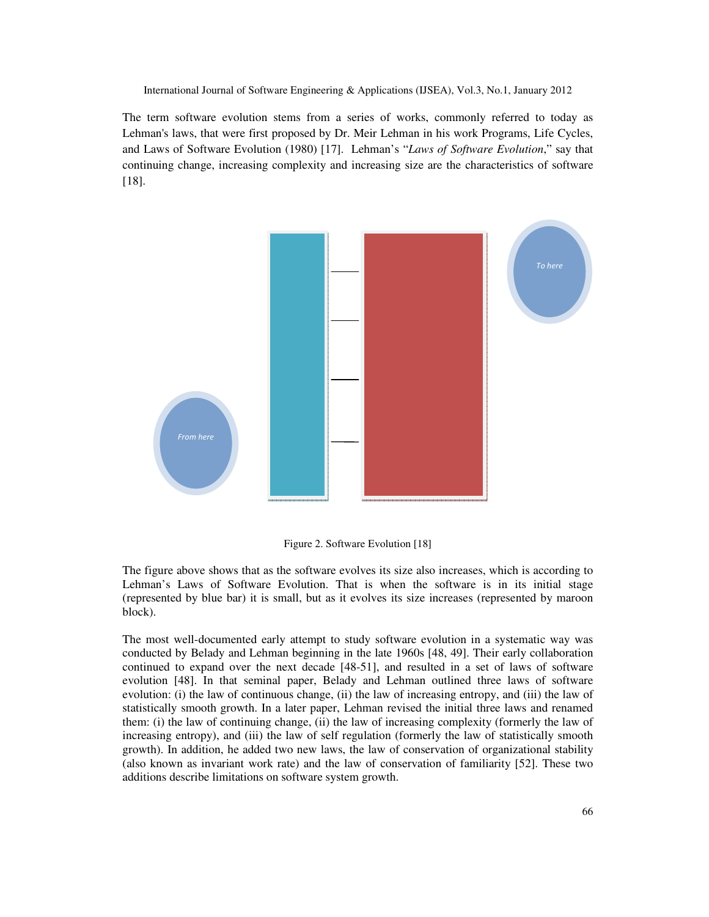The term software evolution stems from a series of works, commonly referred to today as Lehman's laws, that were first proposed by Dr. Meir Lehman in his work Programs, Life Cycles, and Laws of Software Evolution (1980) [17]. Lehman's "*Laws of Software Evolution*," say that continuing change, increasing complexity and increasing size are the characteristics of software [18].



Figure 2. Software Evolution [18]

The figure above shows that as the software evolves its size also increases, which is according to Lehman's Laws of Software Evolution. That is when the software is in its initial stage (represented by blue bar) it is small, but as it evolves its size increases (represented by maroon block).

The most well-documented early attempt to study software evolution in a systematic way was conducted by Belady and Lehman beginning in the late 1960s [48, 49]. Their early collaboration continued to expand over the next decade [48-51], and resulted in a set of laws of software evolution [48]. In that seminal paper, Belady and Lehman outlined three laws of software evolution: (i) the law of continuous change, (ii) the law of increasing entropy, and (iii) the law of statistically smooth growth. In a later paper, Lehman revised the initial three laws and renamed them: (i) the law of continuing change, (ii) the law of increasing complexity (formerly the law of increasing entropy), and (iii) the law of self regulation (formerly the law of statistically smooth growth). In addition, he added two new laws, the law of conservation of organizational stability (also known as invariant work rate) and the law of conservation of familiarity [52]. These two additions describe limitations on software system growth.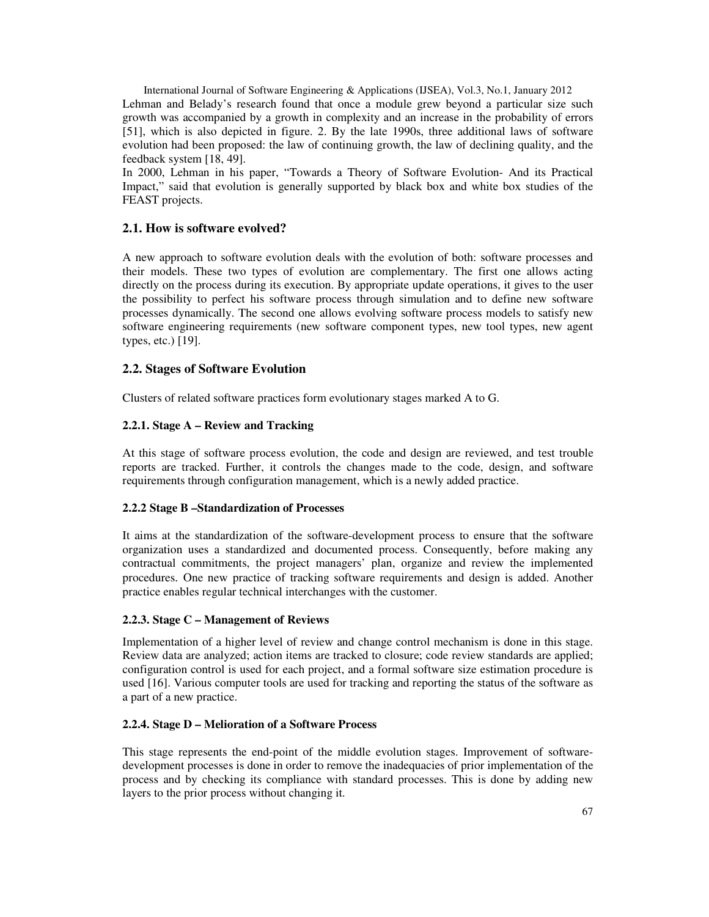International Journal of Software Engineering & Applications (IJSEA), Vol.3, No.1, January 2012 Lehman and Belady's research found that once a module grew beyond a particular size such growth was accompanied by a growth in complexity and an increase in the probability of errors [51], which is also depicted in figure. 2. By the late 1990s, three additional laws of software evolution had been proposed: the law of continuing growth, the law of declining quality, and the feedback system [18, 49].

In 2000, Lehman in his paper, "Towards a Theory of Software Evolution- And its Practical Impact," said that evolution is generally supported by black box and white box studies of the FEAST projects.

# **2.1. How is software evolved?**

A new approach to software evolution deals with the evolution of both: software processes and their models. These two types of evolution are complementary. The first one allows acting directly on the process during its execution. By appropriate update operations, it gives to the user the possibility to perfect his software process through simulation and to define new software processes dynamically. The second one allows evolving software process models to satisfy new software engineering requirements (new software component types, new tool types, new agent types, etc.) [19].

## **2.2. Stages of Software Evolution**

Clusters of related software practices form evolutionary stages marked A to G.

## **2.2.1. Stage A – Review and Tracking**

At this stage of software process evolution, the code and design are reviewed, and test trouble reports are tracked. Further, it controls the changes made to the code, design, and software requirements through configuration management, which is a newly added practice.

#### **2.2.2 Stage B –Standardization of Processes**

It aims at the standardization of the software-development process to ensure that the software organization uses a standardized and documented process. Consequently, before making any contractual commitments, the project managers' plan, organize and review the implemented procedures. One new practice of tracking software requirements and design is added. Another practice enables regular technical interchanges with the customer.

#### **2.2.3. Stage C – Management of Reviews**

Implementation of a higher level of review and change control mechanism is done in this stage. Review data are analyzed; action items are tracked to closure; code review standards are applied; configuration control is used for each project, and a formal software size estimation procedure is used [16]. Various computer tools are used for tracking and reporting the status of the software as a part of a new practice.

#### **2.2.4. Stage D – Melioration of a Software Process**

This stage represents the end-point of the middle evolution stages. Improvement of softwaredevelopment processes is done in order to remove the inadequacies of prior implementation of the process and by checking its compliance with standard processes. This is done by adding new layers to the prior process without changing it.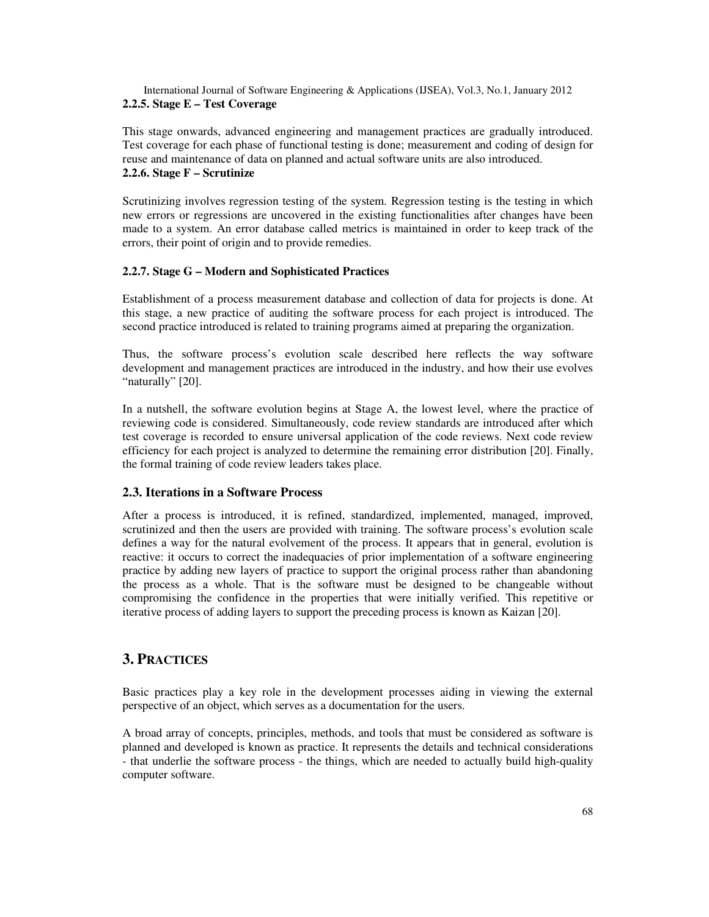#### International Journal of Software Engineering & Applications (IJSEA), Vol.3, No.1, January 2012 **2.2.5. Stage E – Test Coverage**

This stage onwards, advanced engineering and management practices are gradually introduced. Test coverage for each phase of functional testing is done; measurement and coding of design for reuse and maintenance of data on planned and actual software units are also introduced. **2.2.6. Stage F – Scrutinize** 

## Scrutinizing involves regression testing of the system. Regression testing is the testing in which new errors or regressions are uncovered in the existing functionalities after changes have been made to a system. An error database called metrics is maintained in order to keep track of the errors, their point of origin and to provide remedies.

## **2.2.7. Stage G – Modern and Sophisticated Practices**

Establishment of a process measurement database and collection of data for projects is done. At this stage, a new practice of auditing the software process for each project is introduced. The second practice introduced is related to training programs aimed at preparing the organization.

Thus, the software process's evolution scale described here reflects the way software development and management practices are introduced in the industry, and how their use evolves "naturally" [20].

In a nutshell, the software evolution begins at Stage A, the lowest level, where the practice of reviewing code is considered. Simultaneously, code review standards are introduced after which test coverage is recorded to ensure universal application of the code reviews. Next code review efficiency for each project is analyzed to determine the remaining error distribution [20]. Finally, the formal training of code review leaders takes place.

# **2.3. Iterations in a Software Process**

After a process is introduced, it is refined, standardized, implemented, managed, improved, scrutinized and then the users are provided with training. The software process's evolution scale defines a way for the natural evolvement of the process. It appears that in general, evolution is reactive: it occurs to correct the inadequacies of prior implementation of a software engineering practice by adding new layers of practice to support the original process rather than abandoning the process as a whole. That is the software must be designed to be changeable without compromising the confidence in the properties that were initially verified. This repetitive or iterative process of adding layers to support the preceding process is known as Kaizan [20].

# **3. PRACTICES**

Basic practices play a key role in the development processes aiding in viewing the external perspective of an object, which serves as a documentation for the users.

A broad array of concepts, principles, methods, and tools that must be considered as software is planned and developed is known as practice. It represents the details and technical considerations - that underlie the software process - the things, which are needed to actually build high-quality computer software.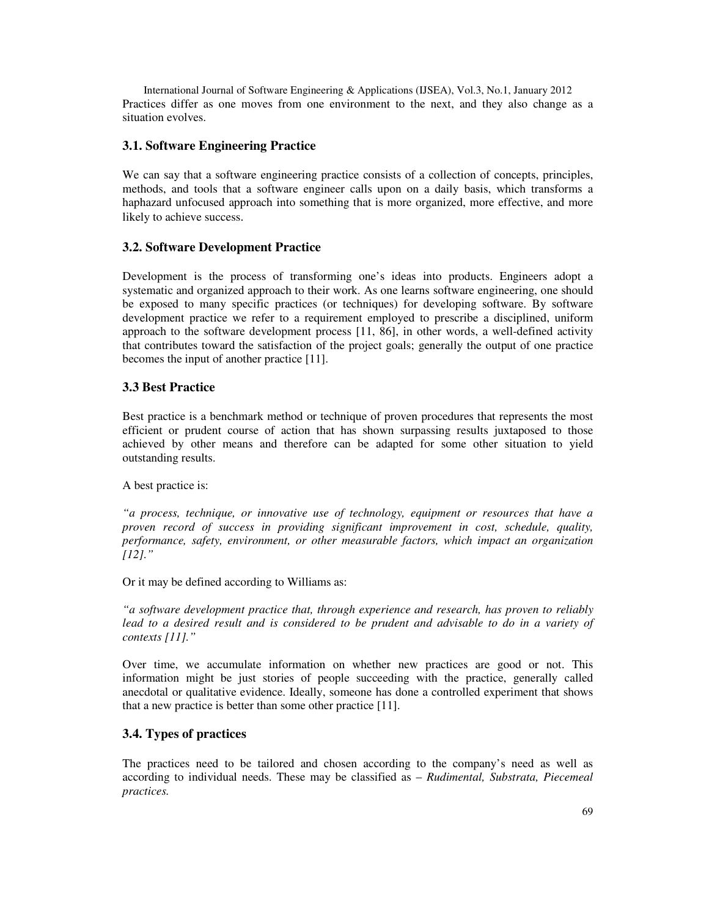International Journal of Software Engineering & Applications (IJSEA), Vol.3, No.1, January 2012 Practices differ as one moves from one environment to the next, and they also change as a situation evolves.

# **3.1. Software Engineering Practice**

We can say that a software engineering practice consists of a collection of concepts, principles, methods, and tools that a software engineer calls upon on a daily basis, which transforms a haphazard unfocused approach into something that is more organized, more effective, and more likely to achieve success.

## **3.2. Software Development Practice**

Development is the process of transforming one's ideas into products. Engineers adopt a systematic and organized approach to their work. As one learns software engineering, one should be exposed to many specific practices (or techniques) for developing software. By software development practice we refer to a requirement employed to prescribe a disciplined, uniform approach to the software development process [11, 86], in other words, a well-defined activity that contributes toward the satisfaction of the project goals; generally the output of one practice becomes the input of another practice [11].

#### **3.3 Best Practice**

Best practice is a benchmark method or technique of proven procedures that represents the most efficient or prudent course of action that has shown surpassing results juxtaposed to those achieved by other means and therefore can be adapted for some other situation to yield outstanding results.

#### A best practice is:

*"a process, technique, or innovative use of technology, equipment or resources that have a proven record of success in providing significant improvement in cost, schedule, quality, performance, safety, environment, or other measurable factors, which impact an organization [12]."* 

Or it may be defined according to Williams as:

*"a software development practice that, through experience and research, has proven to reliably*  lead to a desired result and is considered to be prudent and advisable to do in a variety of *contexts [11]."* 

Over time, we accumulate information on whether new practices are good or not. This information might be just stories of people succeeding with the practice, generally called anecdotal or qualitative evidence. Ideally, someone has done a controlled experiment that shows that a new practice is better than some other practice [11].

# **3.4. Types of practices**

The practices need to be tailored and chosen according to the company's need as well as according to individual needs. These may be classified as – *Rudimental, Substrata, Piecemeal practices.*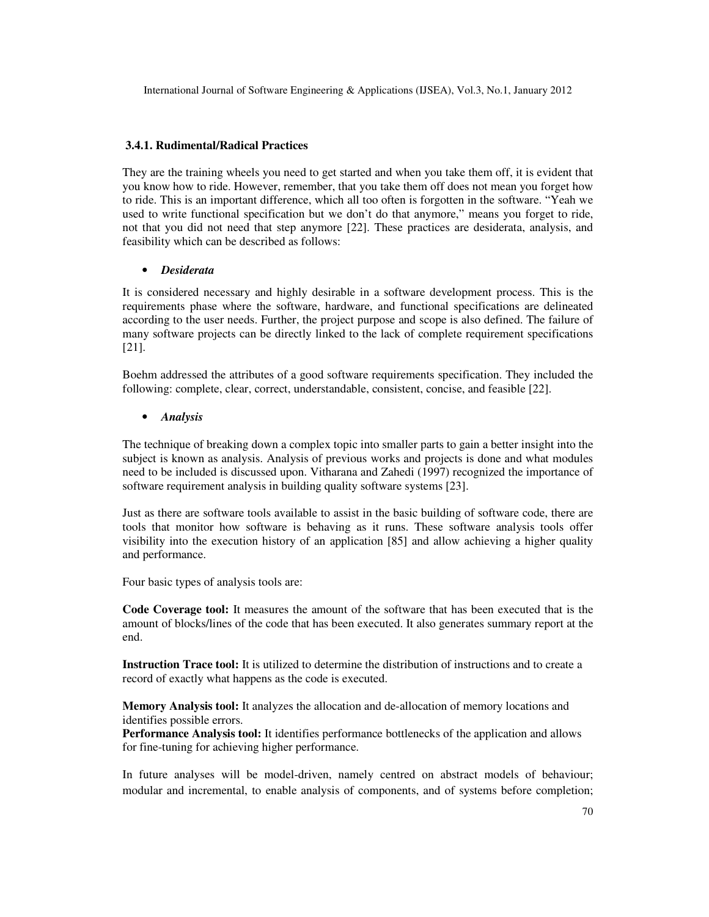#### **3.4.1. Rudimental/Radical Practices**

They are the training wheels you need to get started and when you take them off, it is evident that you know how to ride. However, remember, that you take them off does not mean you forget how to ride. This is an important difference, which all too often is forgotten in the software. "Yeah we used to write functional specification but we don't do that anymore," means you forget to ride, not that you did not need that step anymore [22]. These practices are desiderata, analysis, and feasibility which can be described as follows:

#### • *Desiderata*

It is considered necessary and highly desirable in a software development process. This is the requirements phase where the software, hardware, and functional specifications are delineated according to the user needs. Further, the project purpose and scope is also defined. The failure of many software projects can be directly linked to the lack of complete requirement specifications [21].

Boehm addressed the attributes of a good software requirements specification. They included the following: complete, clear, correct, understandable, consistent, concise, and feasible [22].

#### • *Analysis*

The technique of breaking down a complex topic into smaller parts to gain a better insight into the subject is known as analysis. Analysis of previous works and projects is done and what modules need to be included is discussed upon. Vitharana and Zahedi (1997) recognized the importance of software requirement analysis in building quality software systems [23].

Just as there are software tools available to assist in the basic building of software code, there are tools that monitor how software is behaving as it runs. These software analysis tools offer visibility into the execution history of an application [85] and allow achieving a higher quality and performance.

Four basic types of analysis tools are:

**Code Coverage tool:** It measures the amount of the software that has been executed that is the amount of blocks/lines of the code that has been executed. It also generates summary report at the end.

**Instruction Trace tool:** It is utilized to determine the distribution of instructions and to create a record of exactly what happens as the code is executed.

**Memory Analysis tool:** It analyzes the allocation and de-allocation of memory locations and identifies possible errors.

**Performance Analysis tool:** It identifies performance bottlenecks of the application and allows for fine-tuning for achieving higher performance.

In future analyses will be model-driven, namely centred on abstract models of behaviour; modular and incremental, to enable analysis of components, and of systems before completion;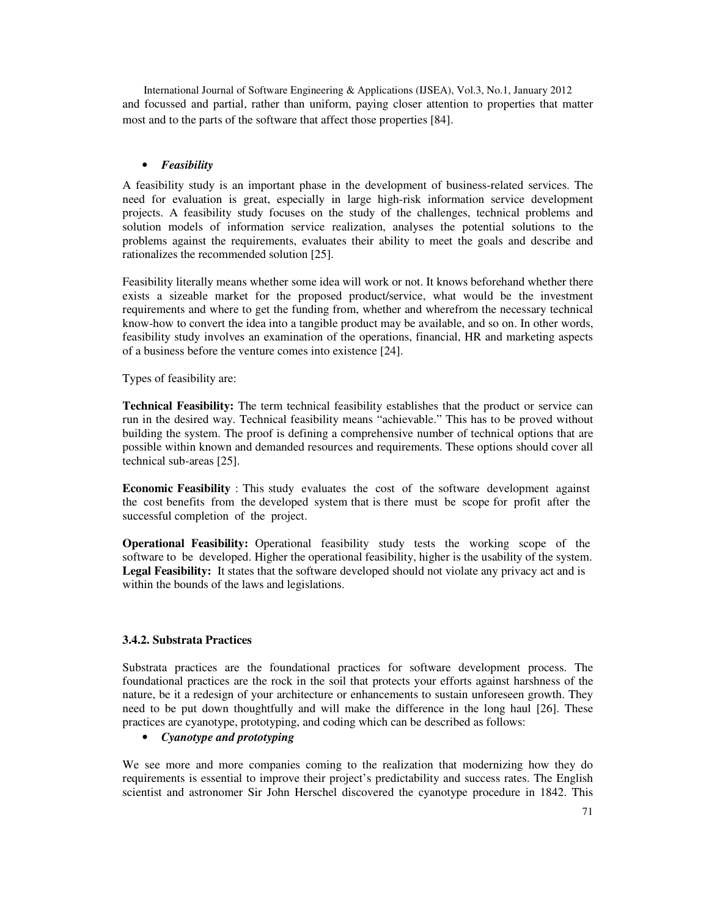International Journal of Software Engineering & Applications (IJSEA), Vol.3, No.1, January 2012 and focussed and partial, rather than uniform, paying closer attention to properties that matter most and to the parts of the software that affect those properties [84].

#### • *Feasibility*

A feasibility study is an important phase in the development of business-related services. The need for evaluation is great, especially in large high-risk information service development projects. A feasibility study focuses on the study of the challenges, technical problems and solution models of information service realization, analyses the potential solutions to the problems against the requirements, evaluates their ability to meet the goals and describe and rationalizes the recommended solution [25].

Feasibility literally means whether some idea will work or not. It knows beforehand whether there exists a sizeable market for the proposed product/service, what would be the investment requirements and where to get the funding from, whether and wherefrom the necessary technical know-how to convert the idea into a tangible product may be available, and so on. In other words, feasibility study involves an examination of the operations, financial, HR and marketing aspects of a business before the venture comes into existence [24].

Types of feasibility are:

**Technical Feasibility:** The term technical feasibility establishes that the product or service can run in the desired way. Technical feasibility means "achievable." This has to be proved without building the system. The proof is defining a comprehensive number of technical options that are possible within known and demanded resources and requirements. These options should cover all technical sub-areas [25].

**Economic Feasibility** : This study evaluates the cost of the software development against the cost benefits from the developed system that is there must be scope for profit after the successful completion of the project.

**Operational Feasibility:** Operational feasibility study tests the working scope of the software to be developed. Higher the operational feasibility, higher is the usability of the system. **Legal Feasibility:** It states that the software developed should not violate any privacy act and is within the bounds of the laws and legislations.

#### **3.4.2. Substrata Practices**

Substrata practices are the foundational practices for software development process. The foundational practices are the rock in the soil that protects your efforts against harshness of the nature, be it a redesign of your architecture or enhancements to sustain unforeseen growth. They need to be put down thoughtfully and will make the difference in the long haul [26]. These practices are cyanotype, prototyping, and coding which can be described as follows:

• *Cyanotype and prototyping* 

We see more and more companies coming to the realization that modernizing how they do requirements is essential to improve their project's predictability and success rates. The English scientist and astronomer Sir John Herschel discovered the cyanotype procedure in 1842. This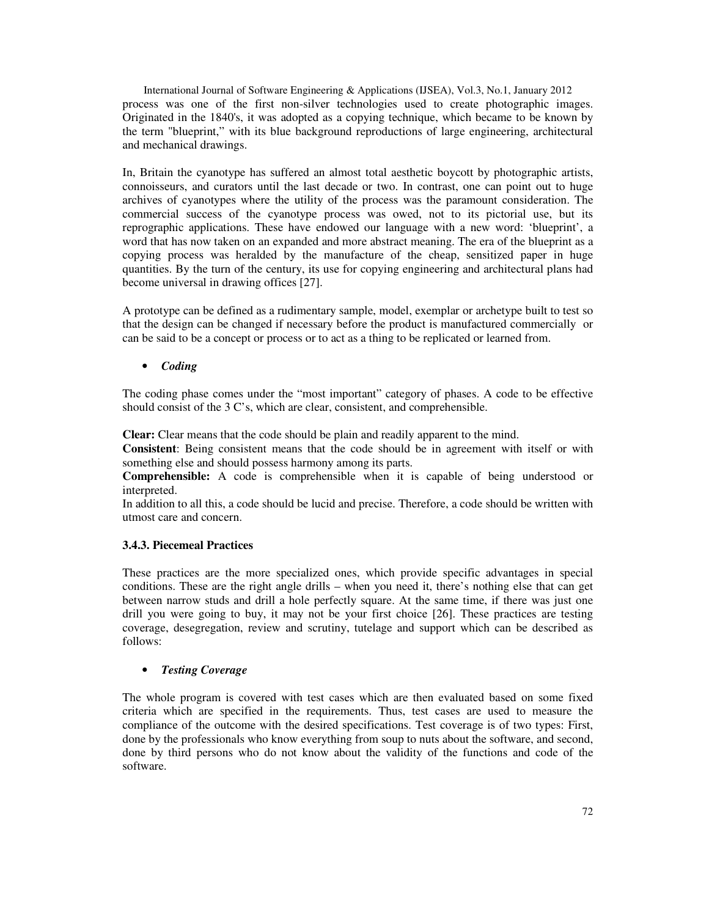International Journal of Software Engineering & Applications (IJSEA), Vol.3, No.1, January 2012 process was one of the first non-silver technologies used to create photographic images. Originated in the 1840's, it was adopted as a copying technique, which became to be known by the term "blueprint," with its blue background reproductions of large engineering, architectural and mechanical drawings.

In, Britain the cyanotype has suffered an almost total aesthetic boycott by photographic artists, connoisseurs, and curators until the last decade or two. In contrast, one can point out to huge archives of cyanotypes where the utility of the process was the paramount consideration. The commercial success of the cyanotype process was owed, not to its pictorial use, but its reprographic applications. These have endowed our language with a new word: 'blueprint', a word that has now taken on an expanded and more abstract meaning. The era of the blueprint as a copying process was heralded by the manufacture of the cheap, sensitized paper in huge quantities. By the turn of the century, its use for copying engineering and architectural plans had become universal in drawing offices [27].

A prototype can be defined as a rudimentary sample, model, exemplar or archetype built to test so that the design can be changed if necessary before the product is manufactured commercially or can be said to be a concept or process or to act as a thing to be replicated or learned from.

• *Coding*

The coding phase comes under the "most important" category of phases. A code to be effective should consist of the 3 C's, which are clear, consistent, and comprehensible.

**Clear:** Clear means that the code should be plain and readily apparent to the mind.

**Consistent**: Being consistent means that the code should be in agreement with itself or with something else and should possess harmony among its parts.

**Comprehensible:** A code is comprehensible when it is capable of being understood or interpreted.

In addition to all this, a code should be lucid and precise. Therefore, a code should be written with utmost care and concern.

#### **3.4.3. Piecemeal Practices**

These practices are the more specialized ones, which provide specific advantages in special conditions. These are the right angle drills – when you need it, there's nothing else that can get between narrow studs and drill a hole perfectly square. At the same time, if there was just one drill you were going to buy, it may not be your first choice [26]. These practices are testing coverage, desegregation, review and scrutiny, tutelage and support which can be described as follows:

#### • *Testing Coverage*

The whole program is covered with test cases which are then evaluated based on some fixed criteria which are specified in the requirements. Thus, test cases are used to measure the compliance of the outcome with the desired specifications. Test coverage is of two types: First, done by the professionals who know everything from soup to nuts about the software, and second, done by third persons who do not know about the validity of the functions and code of the software.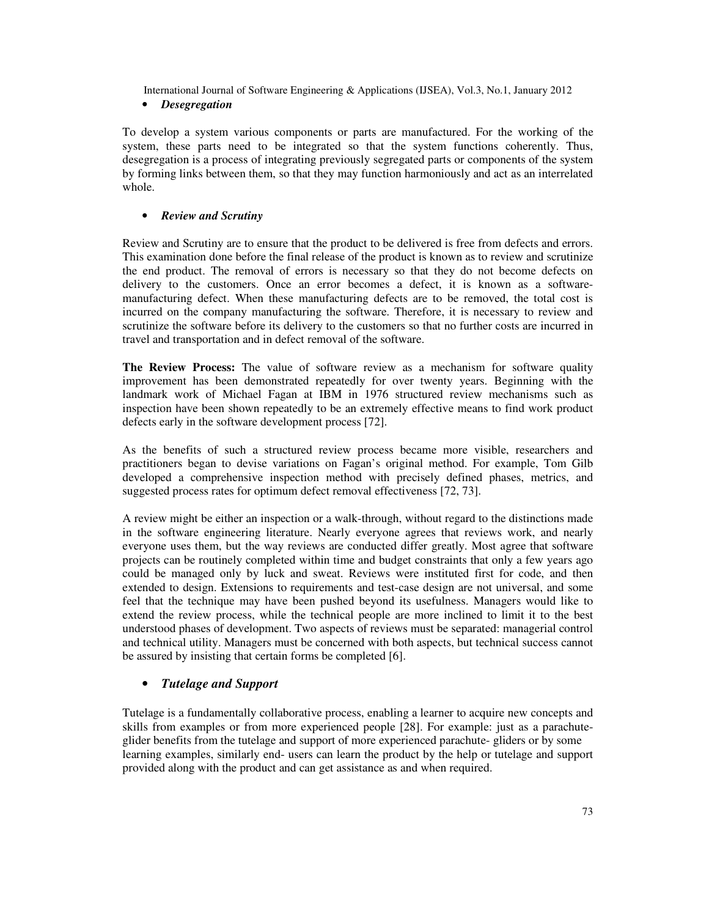## • *Desegregation*

To develop a system various components or parts are manufactured. For the working of the system, these parts need to be integrated so that the system functions coherently. Thus, desegregation is a process of integrating previously segregated parts or components of the system by forming links between them, so that they may function harmoniously and act as an interrelated whole.

## • *Review and Scrutiny*

Review and Scrutiny are to ensure that the product to be delivered is free from defects and errors. This examination done before the final release of the product is known as to review and scrutinize the end product. The removal of errors is necessary so that they do not become defects on delivery to the customers. Once an error becomes a defect, it is known as a softwaremanufacturing defect. When these manufacturing defects are to be removed, the total cost is incurred on the company manufacturing the software. Therefore, it is necessary to review and scrutinize the software before its delivery to the customers so that no further costs are incurred in travel and transportation and in defect removal of the software.

**The Review Process:** The value of software review as a mechanism for software quality improvement has been demonstrated repeatedly for over twenty years. Beginning with the landmark work of Michael Fagan at IBM in 1976 structured review mechanisms such as inspection have been shown repeatedly to be an extremely effective means to find work product defects early in the software development process [72].

As the benefits of such a structured review process became more visible, researchers and practitioners began to devise variations on Fagan's original method. For example, Tom Gilb developed a comprehensive inspection method with precisely defined phases, metrics, and suggested process rates for optimum defect removal effectiveness [72, 73].

A review might be either an inspection or a walk-through, without regard to the distinctions made in the software engineering literature. Nearly everyone agrees that reviews work, and nearly everyone uses them, but the way reviews are conducted differ greatly. Most agree that software projects can be routinely completed within time and budget constraints that only a few years ago could be managed only by luck and sweat. Reviews were instituted first for code, and then extended to design. Extensions to requirements and test-case design are not universal, and some feel that the technique may have been pushed beyond its usefulness. Managers would like to extend the review process, while the technical people are more inclined to limit it to the best understood phases of development. Two aspects of reviews must be separated: managerial control and technical utility. Managers must be concerned with both aspects, but technical success cannot be assured by insisting that certain forms be completed [6].

# • *Tutelage and Support*

Tutelage is a fundamentally collaborative process, enabling a learner to acquire new concepts and skills from examples or from more experienced people [28]. For example: just as a parachuteglider benefits from the tutelage and support of more experienced parachute- gliders or by some learning examples, similarly end- users can learn the product by the help or tutelage and support provided along with the product and can get assistance as and when required.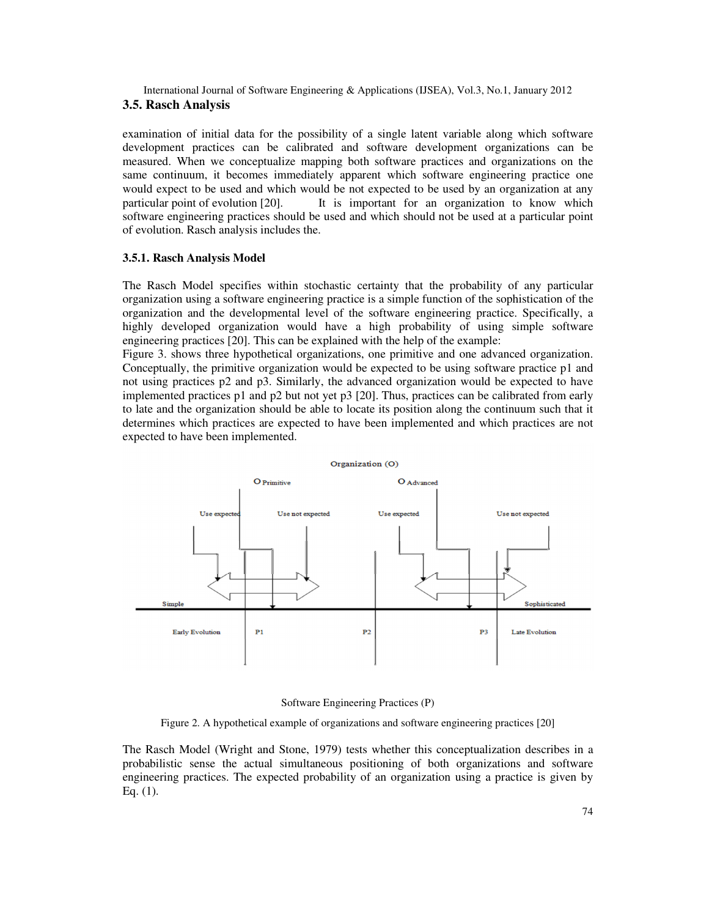#### International Journal of Software Engineering & Applications (IJSEA), Vol.3, No.1, January 2012 **3.5. Rasch Analysis**

examination of initial data for the possibility of a single latent variable along which software development practices can be calibrated and software development organizations can be measured. When we conceptualize mapping both software practices and organizations on the same continuum, it becomes immediately apparent which software engineering practice one would expect to be used and which would be not expected to be used by an organization at any particular point of evolution [20]. It is important for an organization to know which software engineering practices should be used and which should not be used at a particular point of evolution. Rasch analysis includes the.

#### **3.5.1. Rasch Analysis Model**

The Rasch Model specifies within stochastic certainty that the probability of any particular organization using a software engineering practice is a simple function of the sophistication of the organization and the developmental level of the software engineering practice. Specifically, a highly developed organization would have a high probability of using simple software engineering practices [20]. This can be explained with the help of the example:

Figure 3. shows three hypothetical organizations, one primitive and one advanced organization. Conceptually, the primitive organization would be expected to be using software practice p1 and not using practices p2 and p3. Similarly, the advanced organization would be expected to have implemented practices p1 and p2 but not yet p3 [20]. Thus, practices can be calibrated from early to late and the organization should be able to locate its position along the continuum such that it determines which practices are expected to have been implemented and which practices are not expected to have been implemented.



Software Engineering Practices (P)

Figure 2. A hypothetical example of organizations and software engineering practices [20]

The Rasch Model (Wright and Stone, 1979) tests whether this conceptualization describes in a probabilistic sense the actual simultaneous positioning of both organizations and software engineering practices. The expected probability of an organization using a practice is given by Eq. (1).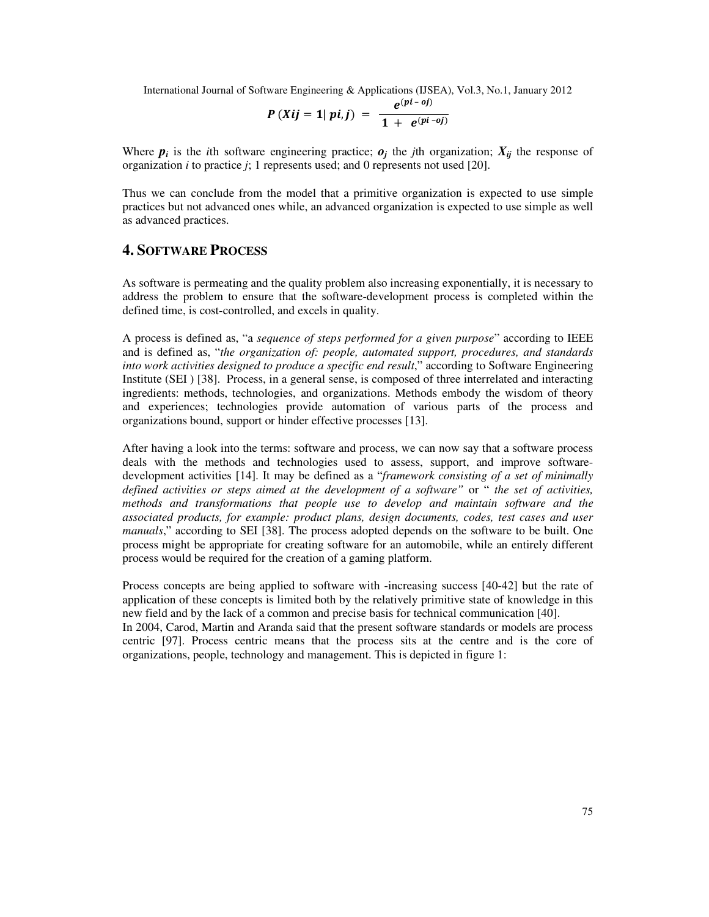$$
P(Xij = 1 | pi, j) = \frac{e^{(pi - 0j)}}{1 + e^{(pi - 0j)}}
$$

Where  $p_i$  is the *i*th software engineering practice;  $o_j$  the *j*th organization;  $X_{ij}$  the response of organization *i* to practice *j*; 1 represents used; and 0 represents not used [20].

Thus we can conclude from the model that a primitive organization is expected to use simple practices but not advanced ones while, an advanced organization is expected to use simple as well as advanced practices.

# **4. SOFTWARE PROCESS**

As software is permeating and the quality problem also increasing exponentially, it is necessary to address the problem to ensure that the software-development process is completed within the defined time, is cost-controlled, and excels in quality.

A process is defined as, "a *sequence of steps performed for a given purpose*" according to IEEE and is defined as, "*the organization of: people, automated support, procedures, and standards*  into work activities designed to produce a specific end result," according to Software Engineering Institute (SEI ) [38]. Process, in a general sense, is composed of three interrelated and interacting ingredients: methods, technologies, and organizations. Methods embody the wisdom of theory and experiences; technologies provide automation of various parts of the process and organizations bound, support or hinder effective processes [13].

After having a look into the terms: software and process, we can now say that a software process deals with the methods and technologies used to assess, support, and improve softwaredevelopment activities [14]. It may be defined as a "*framework consisting of a set of minimally defined activities or steps aimed at the development of a software"* or " *the set of activities, methods and transformations that people use to develop and maintain software and the associated products, for example: product plans, design documents, codes, test cases and user manuals*," according to SEI [38]. The process adopted depends on the software to be built. One process might be appropriate for creating software for an automobile, while an entirely different process would be required for the creation of a gaming platform.

Process concepts are being applied to software with -increasing success [40-42] but the rate of application of these concepts is limited both by the relatively primitive state of knowledge in this new field and by the lack of a common and precise basis for technical communication [40]. In 2004, Carod, Martin and Aranda said that the present software standards or models are process centric [97]. Process centric means that the process sits at the centre and is the core of organizations, people, technology and management. This is depicted in figure 1: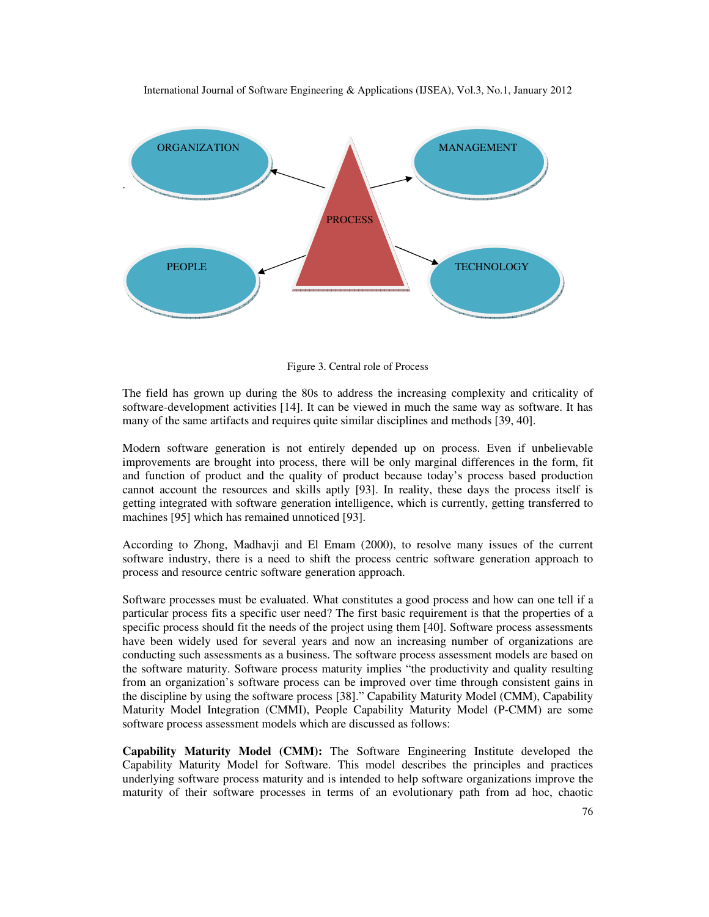

Figure 3. Central role of Process

The field has grown up during the 80s to address the increasing complexity and criticality of software-development activities [14]. It can be viewed in much the same way as software. It has many of the same artifacts and requires quite similar disciplines and methods [39, 40].

Modern software generation is not entirely depended up on process. Even if unbelievable improvements are brought into process, there will be only marginal differences in the form, fit and function of product and the quality of product because today's process based production cannot account the resources and skills aptly [93]. In reality, these days the process itself is getting integrated with software generation intelligence, which is currently, getting transferred to machines [95] which has remained unnoticed [93].

According to Zhong, Madhavji and El Emam (2000), to resolve many issues of the current software industry, there is a need to shift the process centric software generation approach to process and resource centric software generation approach.

Software processes must be evaluated. What constitutes a good process and how can one tell if a particular process fits a specific user need? The first basic requirement is that the properties of a specific process should fit the needs of the project using them [40]. Software process assessments have been widely used for several years and now an increasing number of organizations are conducting such assessments as a business. The software process assessment models are based on the software maturity. Software process maturity implies "the productivity and quality resulting from an organization's software process can be improved over time through consistent gains in the discipline by using the software process [38]." Capability Maturity Model (CMM), Capability Maturity Model Integration (CMMI), People Capability Maturity Model (P-CMM) are some software process assessment models which are discussed as follows:

**Capability Maturity Model (CMM):** The Software Engineering Institute developed the Capability Maturity Model for Software. This model describes the principles and practices underlying software process maturity and is intended to help software organizations improve the maturity of their software processes in terms of an evolutionary path from ad hoc, chaotic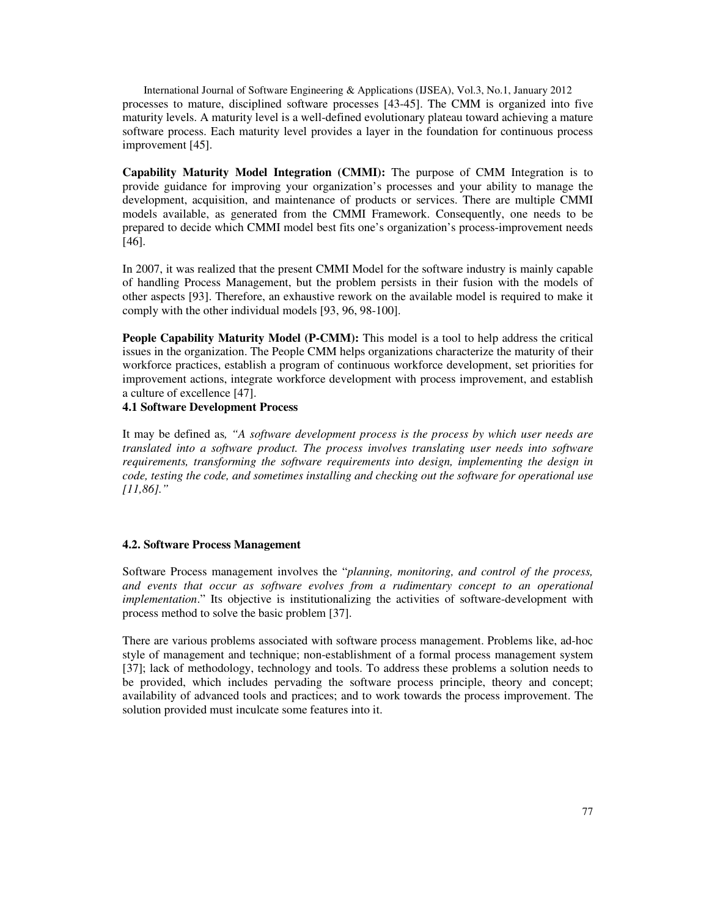International Journal of Software Engineering & Applications (IJSEA), Vol.3, No.1, January 2012 processes to mature, disciplined software processes [43-45]. The CMM is organized into five maturity levels. A maturity level is a well-defined evolutionary plateau toward achieving a mature software process. Each maturity level provides a layer in the foundation for continuous process improvement [45].

**Capability Maturity Model Integration (CMMI):** The purpose of CMM Integration is to provide guidance for improving your organization's processes and your ability to manage the development, acquisition, and maintenance of products or services. There are multiple CMMI models available, as generated from the CMMI Framework. Consequently, one needs to be prepared to decide which CMMI model best fits one's organization's process-improvement needs [46].

In 2007, it was realized that the present CMMI Model for the software industry is mainly capable of handling Process Management, but the problem persists in their fusion with the models of other aspects [93]. Therefore, an exhaustive rework on the available model is required to make it comply with the other individual models [93, 96, 98-100].

**People Capability Maturity Model (P-CMM):** This model is a tool to help address the critical issues in the organization. The People CMM helps organizations characterize the maturity of their workforce practices, establish a program of continuous workforce development, set priorities for improvement actions, integrate workforce development with process improvement, and establish a culture of excellence [47].

## **4.1 Software Development Process**

It may be defined as*, "A software development process is the process by which user needs are translated into a software product. The process involves translating user needs into software requirements, transforming the software requirements into design, implementing the design in code, testing the code, and sometimes installing and checking out the software for operational use [11,86]."* 

#### **4.2. Software Process Management**

Software Process management involves the "*planning, monitoring, and control of the process, and events that occur as software evolves from a rudimentary concept to an operational implementation*." Its objective is institutionalizing the activities of software-development with process method to solve the basic problem [37].

There are various problems associated with software process management. Problems like, ad-hoc style of management and technique; non-establishment of a formal process management system [37]; lack of methodology, technology and tools. To address these problems a solution needs to be provided, which includes pervading the software process principle, theory and concept; availability of advanced tools and practices; and to work towards the process improvement. The solution provided must inculcate some features into it.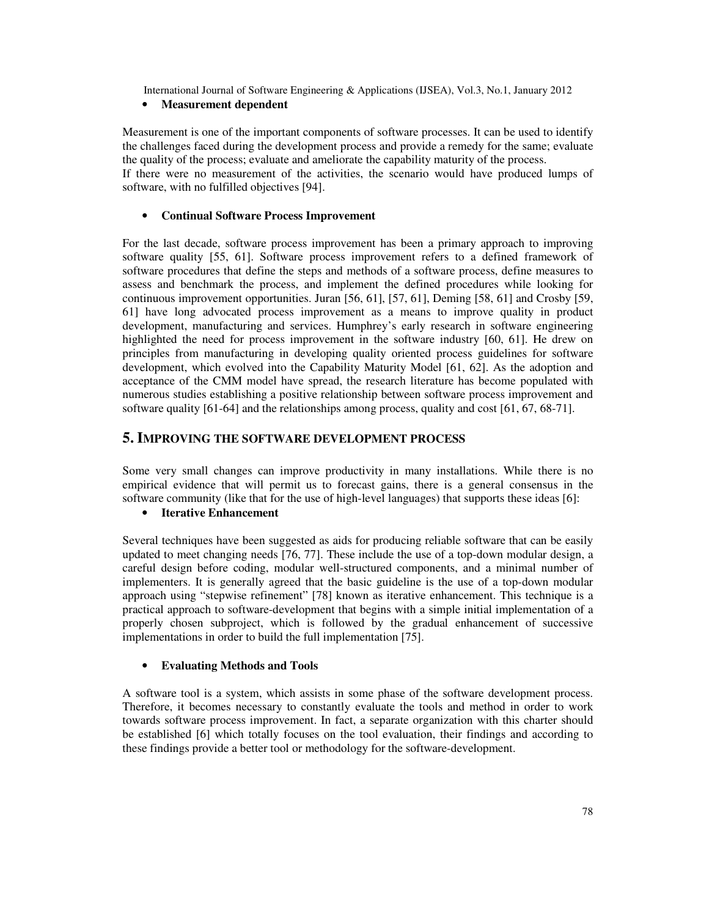## • **Measurement dependent**

Measurement is one of the important components of software processes. It can be used to identify the challenges faced during the development process and provide a remedy for the same; evaluate the quality of the process; evaluate and ameliorate the capability maturity of the process. If there were no measurement of the activities, the scenario would have produced lumps of software, with no fulfilled objectives [94].

# • **Continual Software Process Improvement**

For the last decade, software process improvement has been a primary approach to improving software quality [55, 61]. Software process improvement refers to a defined framework of software procedures that define the steps and methods of a software process, define measures to assess and benchmark the process, and implement the defined procedures while looking for continuous improvement opportunities. Juran [56, 61], [57, 61], Deming [58, 61] and Crosby [59, 61] have long advocated process improvement as a means to improve quality in product development, manufacturing and services. Humphrey's early research in software engineering highlighted the need for process improvement in the software industry [60, 61]. He drew on principles from manufacturing in developing quality oriented process guidelines for software development, which evolved into the Capability Maturity Model [61, 62]. As the adoption and acceptance of the CMM model have spread, the research literature has become populated with numerous studies establishing a positive relationship between software process improvement and software quality [61-64] and the relationships among process, quality and cost [61, 67, 68-71].

# **5. IMPROVING THE SOFTWARE DEVELOPMENT PROCESS**

Some very small changes can improve productivity in many installations. While there is no empirical evidence that will permit us to forecast gains, there is a general consensus in the software community (like that for the use of high-level languages) that supports these ideas [6]:

# • **Iterative Enhancement**

Several techniques have been suggested as aids for producing reliable software that can be easily updated to meet changing needs [76, 77]. These include the use of a top-down modular design, a careful design before coding, modular well-structured components, and a minimal number of implementers. It is generally agreed that the basic guideline is the use of a top-down modular approach using "stepwise refinement" [78] known as iterative enhancement. This technique is a practical approach to software-development that begins with a simple initial implementation of a properly chosen subproject, which is followed by the gradual enhancement of successive implementations in order to build the full implementation [75].

# • **Evaluating Methods and Tools**

A software tool is a system, which assists in some phase of the software development process. Therefore, it becomes necessary to constantly evaluate the tools and method in order to work towards software process improvement. In fact, a separate organization with this charter should be established [6] which totally focuses on the tool evaluation, their findings and according to these findings provide a better tool or methodology for the software-development.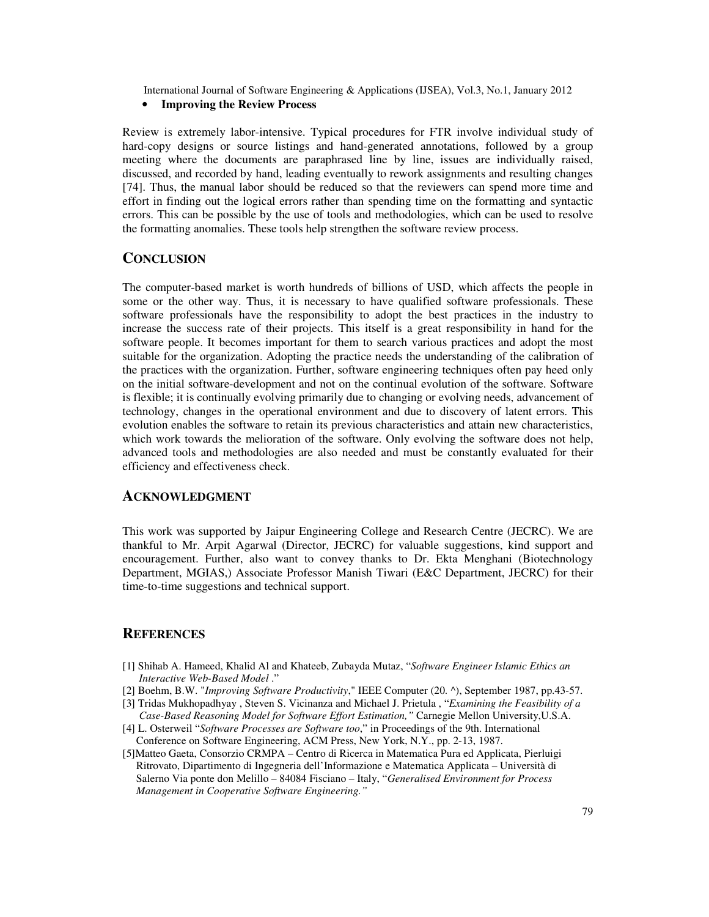#### • **Improving the Review Process**

Review is extremely labor-intensive. Typical procedures for FTR involve individual study of hard-copy designs or source listings and hand-generated annotations, followed by a group meeting where the documents are paraphrased line by line, issues are individually raised, discussed, and recorded by hand, leading eventually to rework assignments and resulting changes [74]. Thus, the manual labor should be reduced so that the reviewers can spend more time and effort in finding out the logical errors rather than spending time on the formatting and syntactic errors. This can be possible by the use of tools and methodologies, which can be used to resolve the formatting anomalies. These tools help strengthen the software review process.

#### **CONCLUSION**

The computer-based market is worth hundreds of billions of USD, which affects the people in some or the other way. Thus, it is necessary to have qualified software professionals. These software professionals have the responsibility to adopt the best practices in the industry to increase the success rate of their projects. This itself is a great responsibility in hand for the software people. It becomes important for them to search various practices and adopt the most suitable for the organization. Adopting the practice needs the understanding of the calibration of the practices with the organization. Further, software engineering techniques often pay heed only on the initial software-development and not on the continual evolution of the software. Software is flexible; it is continually evolving primarily due to changing or evolving needs, advancement of technology, changes in the operational environment and due to discovery of latent errors. This evolution enables the software to retain its previous characteristics and attain new characteristics, which work towards the melioration of the software. Only evolving the software does not help, advanced tools and methodologies are also needed and must be constantly evaluated for their efficiency and effectiveness check.

## **ACKNOWLEDGMENT**

This work was supported by Jaipur Engineering College and Research Centre (JECRC). We are thankful to Mr. Arpit Agarwal (Director, JECRC) for valuable suggestions, kind support and encouragement. Further, also want to convey thanks to Dr. Ekta Menghani (Biotechnology Department, MGIAS,) Associate Professor Manish Tiwari (E&C Department, JECRC) for their time-to-time suggestions and technical support.

#### **REFERENCES**

- [1] Shihab A. Hameed, Khalid Al and Khateeb, Zubayda Mutaz, "*Software Engineer Islamic Ethics an Interactive Web-Based Model* ."
- [2] Boehm, B.W. "*Improving Software Productivity*," IEEE Computer (20. ^), September 1987, pp.43-57.
- [3] Tridas Mukhopadhyay , Steven S. Vicinanza and Michael J. Prietula , "*Examining the Feasibility of a Case-Based Reasoning Model for Software Effort Estimation,"* Carnegie Mellon University,U.S.A.
- [4] L. Osterweil "*Software Processes are Software too*," in Proceedings of the 9th. International Conference on Software Engineering, ACM Press, New York, N.Y., pp. 2-13, 1987.
- [5]Matteo Gaeta, Consorzio CRMPA Centro di Ricerca in Matematica Pura ed Applicata, Pierluigi Ritrovato, Dipartimento di Ingegneria dell'Informazione e Matematica Applicata – Università di Salerno Via ponte don Melillo – 84084 Fisciano – Italy, "*Generalised Environment for Process Management in Cooperative Software Engineering."*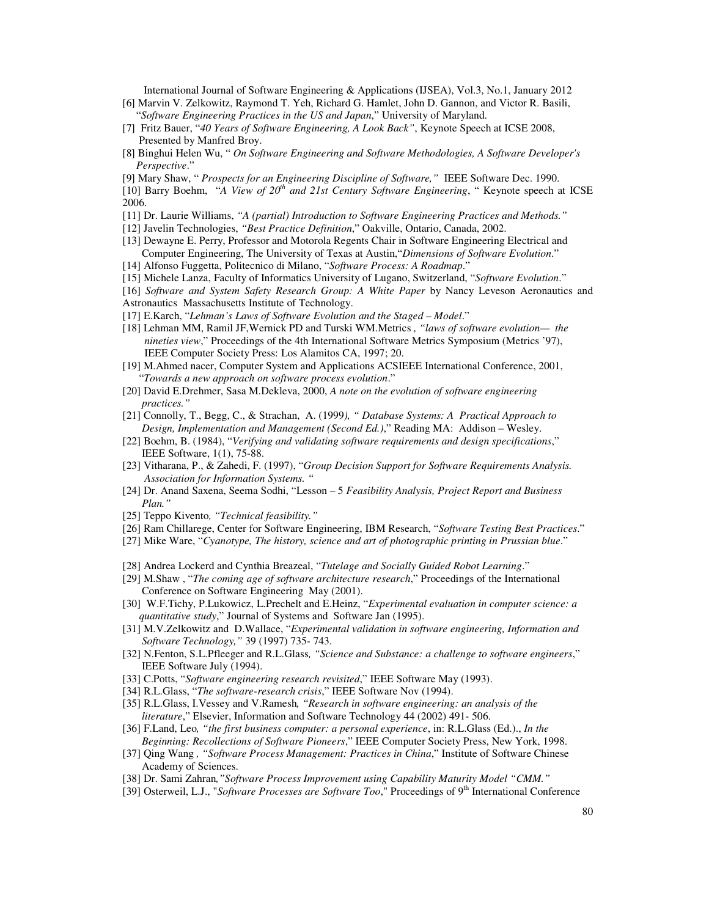International Journal of Software Engineering & Applications (IJSEA), Vol.3, No.1, January 2012 [6] Marvin V. Zelkowitz, Raymond T. Yeh, Richard G. Hamlet, John D. Gannon, and Victor R. Basili,

- "*Software Engineering Practices in the US and Japan*," University of Maryland.
- [7] Fritz Bauer, "*40 Years of Software Engineering, A Look Back"*, Keynote Speech at ICSE 2008, Presented by Manfred Broy.
- [8] Binghui Helen Wu, " *On Software Engineering and Software Methodologies, A Software Developer's Perspective*."
- [9] Mary Shaw, " *Prospects for an Engineering Discipline of Software,"* IEEE Software Dec. 1990.
- [10] Barry Boehm, "*A View of 20th and 21st Century Software Engineering*, " Keynote speech at ICSE 2006.
- [11] Dr. Laurie Williams, *"A (partial) Introduction to Software Engineering Practices and Methods."*
- [12] Javelin Technologies, *"Best Practice Definition*," Oakville, Ontario, Canada, 2002.
- [13] Dewayne E. Perry, Professor and Motorola Regents Chair in Software Engineering Electrical and Computer Engineering, The University of Texas at Austin,"*Dimensions of Software Evolution*."
- [14] Alfonso Fuggetta, Politecnico di Milano, "*Software Process: A Roadmap*."
- [15] Michele Lanza, Faculty of Informatics University of Lugano, Switzerland, "*Software Evolution*."
- [16] *Software and System Safety Research Group: A White Paper* by Nancy Leveson Aeronautics and
- Astronautics Massachusetts Institute of Technology.
- [17] E.Karch, "*Lehman's Laws of Software Evolution and the Staged Model*."
- [18] Lehman MM, Ramil JF,Wernick PD and Turski WM.Metrics *, "laws of software evolution— the nineties view*," Proceedings of the 4th International Software Metrics Symposium (Metrics '97), IEEE Computer Society Press: Los Alamitos CA, 1997; 20.
- [19] M.Ahmed nacer, Computer System and Applications ACSIEEE International Conference, 2001, "*Towards a new approach on software process evolution*."
- [20] David E.Drehmer, Sasa M.Dekleva, 2000, *A note on the evolution of software engineering practices."*
- [21] Connolly, T., Begg, C., & Strachan, A. (1999*), " Database Systems: A Practical Approach to Design, Implementation and Management (Second Ed.)*," Reading MA: Addison – Wesley.
- [22] Boehm, B. (1984), "*Verifying and validating software requirements and design specifications*," IEEE Software, 1(1), 75-88.
- [23] Vitharana, P., & Zahedi, F. (1997), "*Group Decision Support for Software Requirements Analysis. Association for Information Systems. "*
- [24] Dr. Anand Saxena, Seema Sodhi, "Lesson 5 *Feasibility Analysis, Project Report and Business Plan."*
- [25] Teppo Kivento*, "Technical feasibility."*
- [26] Ram Chillarege, Center for Software Engineering, IBM Research, "*Software Testing Best Practices*."
- [27] Mike Ware, "*Cyanotype, The history, science and art of photographic printing in Prussian blue*."
- [28] Andrea Lockerd and Cynthia Breazeal, "*Tutelage and Socially Guided Robot Learning*."
- [29] M.Shaw , "*The coming age of software architecture research*," Proceedings of the International Conference on Software Engineering May (2001).
- [30] W.F.Tichy, P.Lukowicz, L.Prechelt and E.Heinz, "*Experimental evaluation in computer science: a quantitative study*," Journal of Systems and Software Jan (1995).
- [31] M.V.Zelkowitz and D.Wallace, "*Experimental validation in software engineering, Information and Software Technology,"* 39 (1997) 735- 743.
- [32] N.Fenton, S.L.Pfleeger and R.L.Glass*, "Science and Substance: a challenge to software engineers*," IEEE Software July (1994).
- [33] C.Potts, "*Software engineering research revisited*," IEEE Software May (1993).
- [34] R.L.Glass, "*The software-research crisis*," IEEE Software Nov (1994).
- [35] R.L.Glass, I.Vessey and V.Ramesh*, "Research in software engineering: an analysis of the literature*," Elsevier, Information and Software Technology 44 (2002) 491- 506.
- [36] F.Land, Leo*, "the first business computer: a personal experience*, in: R.L.Glass (Ed.)., *In the Beginning: Recollections of Software Pioneers*," IEEE Computer Society Press, New York, 1998.
- [37] Qing Wang *, "Software Process Management: Practices in China*," Institute of Software Chinese Academy of Sciences.
- [38] Dr. Sami Zahran*,"Software Process Improvement using Capability Maturity Model "CMM."*
- [39] Osterweil, L.J., "*Software Processes are Software Too*," Proceedings of 9<sup>th</sup> International Conference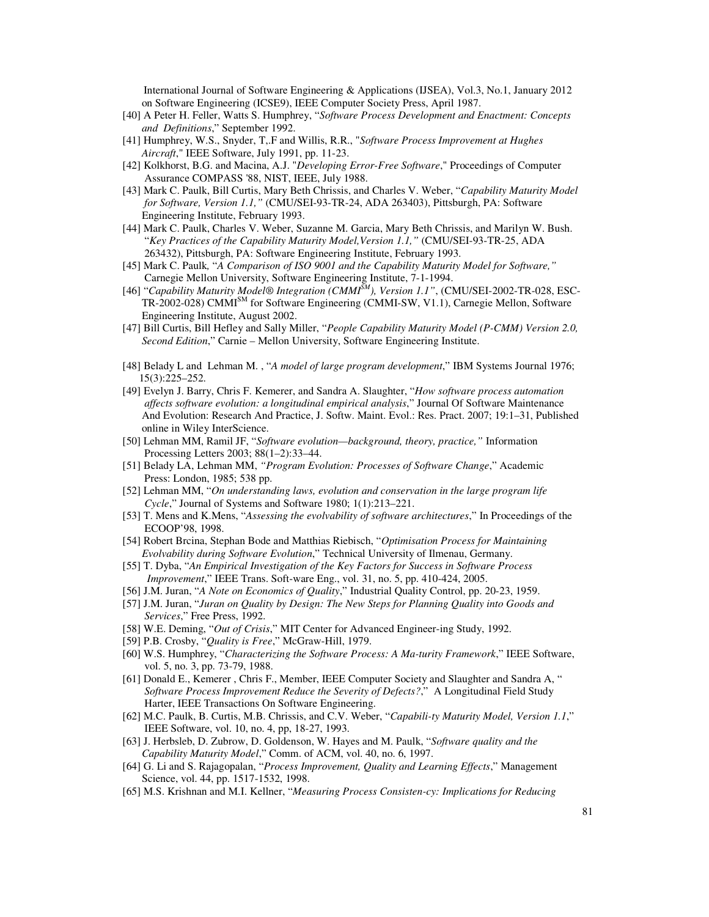International Journal of Software Engineering & Applications (IJSEA), Vol.3, No.1, January 2012 on Software Engineering (ICSE9), IEEE Computer Society Press, April 1987.

- [40] A Peter H. Feller, Watts S. Humphrey, "*Software Process Development and Enactment: Concepts and Definitions*," September 1992.
- [41] Humphrey, W.S., Snyder, T,.F and Willis, R.R., "*Software Process Improvement at Hughes Aircraft*," IEEE Software, July 1991, pp. 11-23.
- [42] Kolkhorst, B.G. and Macina, A.J. "*Developing Error-Free Software*," Proceedings of Computer Assurance COMPASS '88, NIST, IEEE, July 1988.
- [43] Mark C. Paulk, Bill Curtis, Mary Beth Chrissis, and Charles V. Weber, "*Capability Maturity Model for Software, Version 1.1,"* (CMU/SEI-93-TR-24, ADA 263403), Pittsburgh, PA: Software Engineering Institute, February 1993.
- [44] Mark C. Paulk, Charles V. Weber, Suzanne M. Garcia, Mary Beth Chrissis, and Marilyn W. Bush. "*Key Practices of the Capability Maturity Model,Version 1.1,"* (CMU/SEI-93-TR-25, ADA 263432), Pittsburgh, PA: Software Engineering Institute, February 1993.
- [45] Mark C. Paulk*,* "*A Comparison of ISO 9001 and the Capability Maturity Model for Software,"* Carnegie Mellon University, Software Engineering Institute, 7-1-1994.
- [46] "*Capability Maturity Model® Integration (CMMISM), Version 1.1"*, (CMU/SEI-2002-TR-028, ESC- TR-2002-028) CMMISM for Software Engineering (CMMI-SW, V1.1), Carnegie Mellon, Software Engineering Institute, August 2002.
- [47] Bill Curtis, Bill Hefley and Sally Miller, "*People Capability Maturity Model (P-CMM) Version 2.0, Second Edition*," Carnie – Mellon University, Software Engineering Institute.
- [48] Belady L and Lehman M. , "*A model of large program development*," IBM Systems Journal 1976; 15(3):225–252.
- [49] Evelyn J. Barry, Chris F. Kemerer, and Sandra A. Slaughter, "*How software process automation affects software evolution: a longitudinal empirical analysis*," Journal Of Software Maintenance And Evolution: Research And Practice, J. Softw. Maint. Evol.: Res. Pract. 2007; 19:1–31, Published online in Wiley InterScience.
- [50] Lehman MM, Ramil JF, "*Software evolution—background, theory, practice,"* Information Processing Letters 2003; 88(1–2):33–44.
- [51] Belady LA, Lehman MM, *"Program Evolution: Processes of Software Change*," Academic Press: London, 1985; 538 pp.
- [52] Lehman MM, "*On understanding laws, evolution and conservation in the large program life Cycle*," Journal of Systems and Software 1980; 1(1):213–221.
- [53] T. Mens and K.Mens, "*Assessing the evolvability of software architectures*," In Proceedings of the ECOOP'98, 1998.
- [54] Robert Brcina, Stephan Bode and Matthias Riebisch, "*Optimisation Process for Maintaining Evolvability during Software Evolution*," Technical University of Ilmenau, Germany.
- [55] T. Dyba, "*An Empirical Investigation of the Key Factors for Success in Software Process Improvement*," IEEE Trans. Soft-ware Eng., vol. 31, no. 5, pp. 410-424, 2005.
- [56] J.M. Juran, "*A Note on Economics of Quality*," Industrial Quality Control, pp. 20-23, 1959.
- [57] J.M. Juran, "*Juran on Quality by Design: The New Steps for Planning Quality into Goods and Services*," Free Press, 1992.
- [58] W.E. Deming, "*Out of Crisis*," MIT Center for Advanced Engineer-ing Study, 1992.
- [59] P.B. Crosby, "*Quality is Free*," McGraw-Hill, 1979.
- [60] W.S. Humphrey, "*Characterizing the Software Process: A Ma-turity Framework*," IEEE Software, vol. 5, no. 3, pp. 73-79, 1988.
- [61] Donald E., Kemerer , Chris F., Member, IEEE Computer Society and Slaughter and Sandra A, " *Software Process Improvement Reduce the Severity of Defects?*," A Longitudinal Field Study Harter, IEEE Transactions On Software Engineering.
- [62] M.C. Paulk, B. Curtis, M.B. Chrissis, and C.V. Weber, "*Capabili-ty Maturity Model, Version 1.1*," IEEE Software, vol. 10, no. 4, pp, 18-27, 1993.
- [63] J. Herbsleb, D. Zubrow, D. Goldenson, W. Hayes and M. Paulk, "*Software quality and the Capability Maturity Model*," Comm. of ACM, vol. 40, no. 6, 1997.
- [64] G. Li and S. Rajagopalan, "*Process Improvement, Quality and Learning Effects*," Management Science, vol. 44, pp. 1517-1532, 1998.
- [65] M.S. Krishnan and M.I. Kellner, "*Measuring Process Consisten-cy: Implications for Reducing*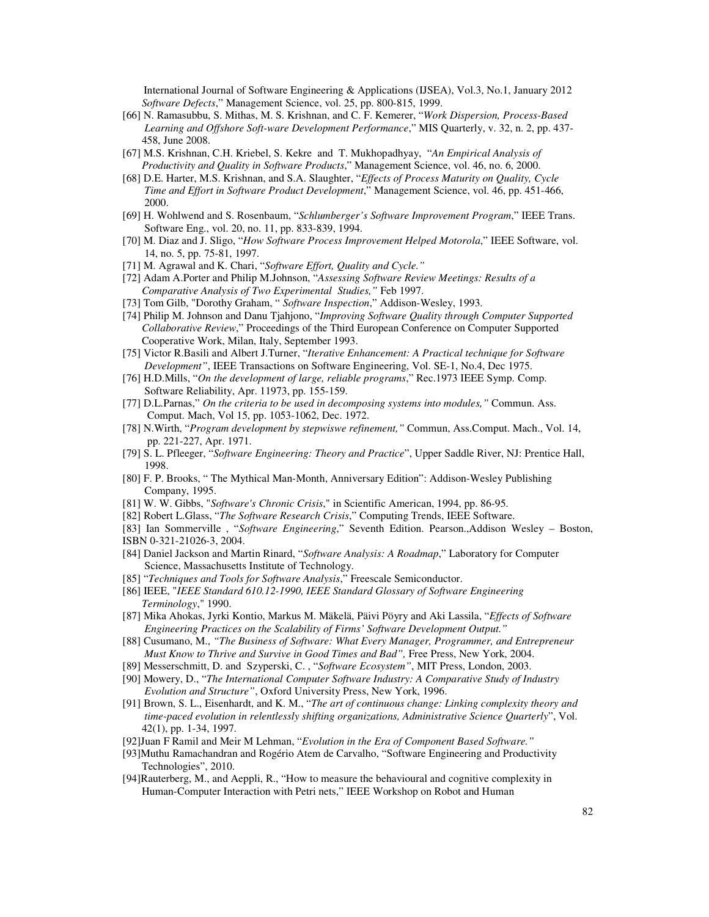International Journal of Software Engineering & Applications (IJSEA), Vol.3, No.1, January 2012  *Software Defects*," Management Science, vol. 25, pp. 800-815, 1999.

- [66] N. Ramasubbu, S. Mithas, M. S. Krishnan, and C. F. Kemerer, "*Work Dispersion, Process-Based Learning and Offshore Soft-ware Development Performance*," MIS Quarterly, v. 32, n. 2, pp. 437- 458, June 2008.
- [67] M.S. Krishnan, C.H. Kriebel, S. Kekre and T. Mukhopadhyay, "*An Empirical Analysis of Productivity and Quality in Software Products*," Management Science, vol. 46, no. 6, 2000.
- [68] D.E. Harter, M.S. Krishnan, and S.A. Slaughter, "*Effects of Process Maturity on Quality, Cycle Time and Effort in Software Product Development*," Management Science, vol. 46, pp. 451-466, 2000.
- [69] H. Wohlwend and S. Rosenbaum, "*Schlumberger's Software Improvement Program*," IEEE Trans. Software Eng., vol. 20, no. 11, pp. 833-839, 1994.
- [70] M. Diaz and J. Sligo, "*How Software Process Improvement Helped Motorola*," IEEE Software, vol. 14, no. 5, pp. 75-81, 1997.
- [71] M. Agrawal and K. Chari, "*Software Effort, Quality and Cycle."*
- [72] Adam A.Porter and Philip M.Johnson, "*Assessing Software Review Meetings: Results of a Comparative Analysis of Two Experimental Studies,"* Feb 1997.
- [73] Tom Gilb, "Dorothy Graham, " *Software Inspection*," Addison-Wesley, 1993.
- [74] Philip M. Johnson and Danu Tjahjono, "*Improving Software Quality through Computer Supported Collaborative Review*," Proceedings of the Third European Conference on Computer Supported Cooperative Work, Milan, Italy, September 1993.
- [75] Victor R.Basili and Albert J.Turner, "*Iterative Enhancement: A Practical technique for Software Development"*, IEEE Transactions on Software Engineering, Vol. SE-1, No.4, Dec 1975.
- [76] H.D.Mills, "*On the development of large, reliable programs*," Rec.1973 IEEE Symp. Comp. Software Reliability, Apr. 11973, pp. 155-159.
- [77] D.L.Parnas," *On the criteria to be used in decomposing systems into modules,"* Commun. Ass. Comput. Mach, Vol 15, pp. 1053-1062, Dec. 1972.
- [78] N.Wirth, "*Program development by stepwiswe refinement,"* Commun, Ass.Comput. Mach., Vol. 14, pp. 221-227, Apr. 1971.
- [79] S. L. Pfleeger, "*Software Engineering: Theory and Practice*", Upper Saddle River, NJ: Prentice Hall, 1998.
- [80] F. P. Brooks, " The Mythical Man-Month, Anniversary Edition": Addison-Wesley Publishing Company, 1995.
- [81] W. W. Gibbs, "*Software's Chronic Crisis*," in Scientific American, 1994, pp. 86-95.
- [82] Robert L.Glass, "*The Software Research Crisis*," Computing Trends, IEEE Software.
- [83] Ian Sommerville , "*Software Engineering*," Seventh Edition. Pearson.,Addison Wesley Boston, ISBN 0-321-21026-3, 2004.
- [84] Daniel Jackson and Martin Rinard, "*Software Analysis: A Roadmap*," Laboratory for Computer Science, Massachusetts Institute of Technology.
- [85] "*Techniques and Tools for Software Analysis*," Freescale Semiconductor.
- [86] IEEE, "*IEEE Standard 610.12-1990, IEEE Standard Glossary of Software Engineering Terminology*," 1990.
- [87] Mika Ahokas, Jyrki Kontio, Markus M. Mäkelä, Päivi Pöyry and Aki Lassila, "*Effects of Software Engineering Practices on the Scalability of Firms' Software Development Output."*
- [88] Cusumano, M., *"The Business of Software: What Every Manager, Programmer, and Entrepreneur Must Know to Thrive and Survive in Good Times and Bad",* Free Press, New York, 2004.
- [89] Messerschmitt, D. and Szyperski, C. , "*Software Ecosystem"*, MIT Press, London, 2003.
- [90] Mowery, D., "*The International Computer Software Industry: A Comparative Study of Industry Evolution and Structure"*, Oxford University Press, New York, 1996.
- [91] Brown, S. L., Eisenhardt, and K. M., "*The art of continuous change: Linking complexity theory and time-paced evolution in relentlessly shifting organizations, Administrative Science Quarterly*", Vol. 42(1), pp. 1-34, 1997.
- [92]Juan F Ramil and Meir M Lehman, "*Evolution in the Era of Component Based Software."*
- [93]Muthu Ramachandran and Rogério Atem de Carvalho, "Software Engineering and Productivity Technologies", 2010.
- [94]Rauterberg, M., and Aeppli, R., "How to measure the behavioural and cognitive complexity in Human-Computer Interaction with Petri nets," IEEE Workshop on Robot and Human